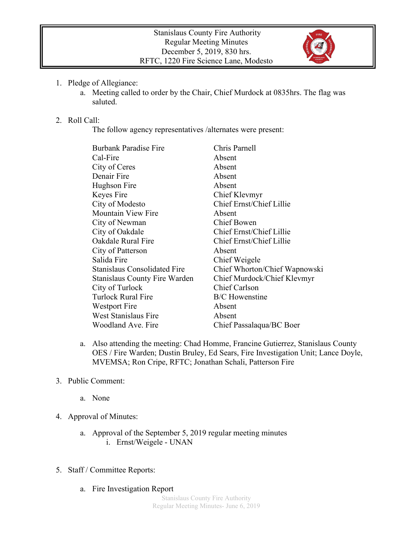

- 1. Pledge of Allegiance:
	- a. Meeting called to order by the Chair, Chief Murdock at 0835hrs. The flag was saluted.

## 2. Roll Call:

The follow agency representatives /alternates were present:

| <b>Burbank Paradise Fire</b>         | Chris Parnell                 |
|--------------------------------------|-------------------------------|
| Cal-Fire                             | Absent                        |
| City of Ceres                        | Absent                        |
| Denair Fire                          | Absent                        |
| Hughson Fire                         | Absent                        |
| Keyes Fire                           | Chief Klevmyr                 |
| City of Modesto                      | Chief Ernst/Chief Lillie      |
| <b>Mountain View Fire</b>            | Absent                        |
| City of Newman                       | Chief Bowen                   |
| City of Oakdale                      | Chief Ernst/Chief Lillie      |
| Oakdale Rural Fire                   | Chief Ernst/Chief Lillie      |
| City of Patterson                    | Absent                        |
| Salida Fire                          | Chief Weigele                 |
| <b>Stanislaus Consolidated Fire</b>  | Chief Whorton/Chief Wapnowski |
| <b>Stanislaus County Fire Warden</b> | Chief Murdock/Chief Klevmyr   |
| City of Turlock                      | <b>Chief Carlson</b>          |
| <b>Turlock Rural Fire</b>            | <b>B/C</b> Howenstine         |
| Westport Fire                        | Absent                        |
| <b>West Stanislaus Fire</b>          | Absent                        |
| Woodland Ave. Fire                   | Chief Passalaqua/BC Boer      |

- a. Also attending the meeting: Chad Homme, Francine Gutierrez, Stanislaus County OES / Fire Warden; Dustin Bruley, Ed Sears, Fire Investigation Unit; Lance Doyle, MVEMSA; Ron Cripe, RFTC; Jonathan Schali, Patterson Fire
- 3. Public Comment:
	- a. None
- 4. Approval of Minutes:
	- a. Approval of the September 5, 2019 regular meeting minutes i. Ernst/Weigele - UNAN
- 5. Staff / Committee Reports:
	- a. Fire Investigation Report